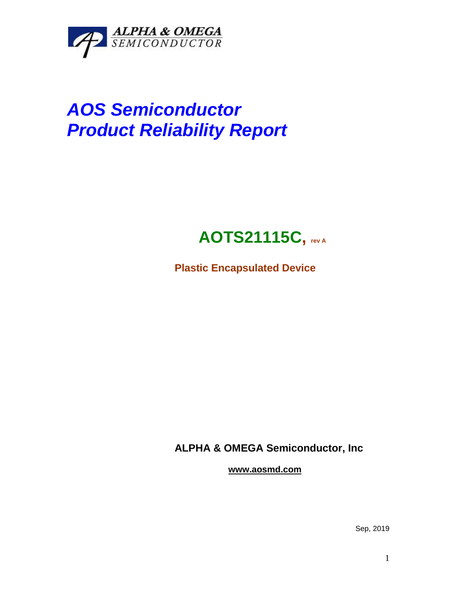

# *AOS Semiconductor Product Reliability Report*

## **AOTS21115C, rev <sup>A</sup>**

**Plastic Encapsulated Device**

**ALPHA & OMEGA Semiconductor, Inc**

**www.aosmd.com**

Sep, 2019